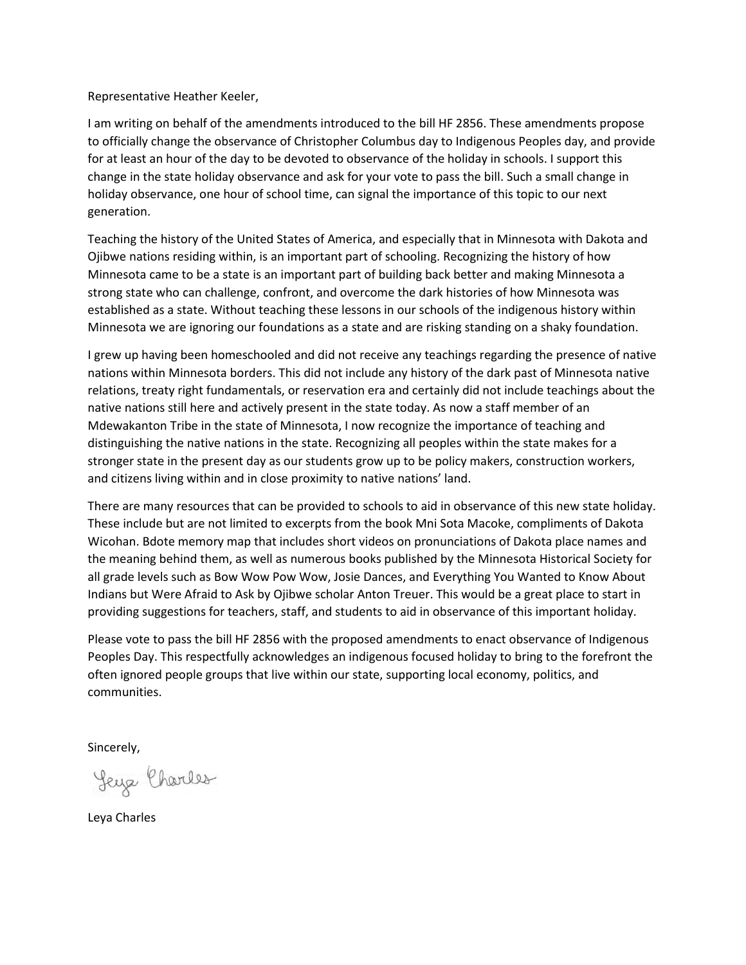Representative Heather Keeler,

I am writing on behalf of the amendments introduced to the bill HF 2856. These amendments propose to officially change the observance of Christopher Columbus day to Indigenous Peoples day, and provide for at least an hour of the day to be devoted to observance of the holiday in schools. I support this change in the state holiday observance and ask for your vote to pass the bill. Such a small change in holiday observance, one hour of school time, can signal the importance of this topic to our next generation.

Teaching the history of the United States of America, and especially that in Minnesota with Dakota and Ojibwe nations residing within, is an important part of schooling. Recognizing the history of how Minnesota came to be a state is an important part of building back better and making Minnesota a strong state who can challenge, confront, and overcome the dark histories of how Minnesota was established as a state. Without teaching these lessons in our schools of the indigenous history within Minnesota we are ignoring our foundations as a state and are risking standing on a shaky foundation.

I grew up having been homeschooled and did not receive any teachings regarding the presence of native nations within Minnesota borders. This did not include any history of the dark past of Minnesota native relations, treaty right fundamentals, or reservation era and certainly did not include teachings about the native nations still here and actively present in the state today. As now a staff member of an Mdewakanton Tribe in the state of Minnesota, I now recognize the importance of teaching and distinguishing the native nations in the state. Recognizing all peoples within the state makes for a stronger state in the present day as our students grow up to be policy makers, construction workers, and citizens living within and in close proximity to native nations' land.

There are many resources that can be provided to schools to aid in observance of this new state holiday. These include but are not limited to excerpts from the book Mni Sota Macoke, compliments of Dakota Wicohan. Bdote memory map that includes short videos on pronunciations of Dakota place names and the meaning behind them, as well as numerous books published by the Minnesota Historical Society for all grade levels such as Bow Wow Pow Wow, Josie Dances, and Everything You Wanted to Know About Indians but Were Afraid to Ask by Ojibwe scholar Anton Treuer. This would be a great place to start in providing suggestions for teachers, staff, and students to aid in observance of this important holiday.

Please vote to pass the bill HF 2856 with the proposed amendments to enact observance of Indigenous Peoples Day. This respectfully acknowledges an indigenous focused holiday to bring to the forefront the often ignored people groups that live within our state, supporting local economy, politics, and communities.

Sincerely,

Leya Charles

Leya Charles